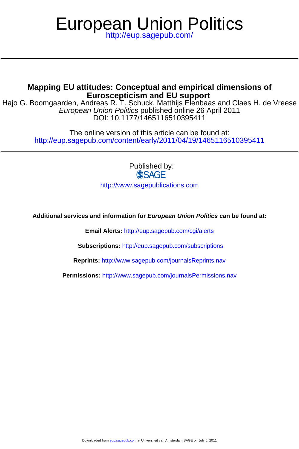# European Union Politics

<http://eup.sagepub.com/>

# **Euroscepticism and EU support Mapping EU attitudes: Conceptual and empirical dimensions of**

DOI: 10.1177/1465116510395411 European Union Politics published online 26 April 2011 Hajo G. Boomgaarden, Andreas R. T. Schuck, Matthijs Elenbaas and Claes H. de Vreese

> <http://eup.sagepub.com/content/early/2011/04/19/1465116510395411> The online version of this article can be found at:

> > Published by: **SSAGE**

<http://www.sagepublications.com>

**Additional services and information for European Union Politics can be found at:**

**Email Alerts:** <http://eup.sagepub.com/cgi/alerts>

**Subscriptions:** <http://eup.sagepub.com/subscriptions>

**Reprints:** <http://www.sagepub.com/journalsReprints.nav>

**Permissions:** <http://www.sagepub.com/journalsPermissions.nav>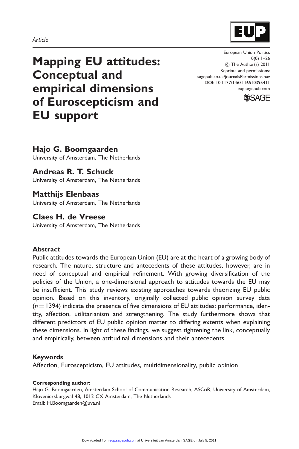#### Article

Mapping EU attitudes: Conceptual and empirical dimensions of Euroscepticism and EU support

European Union Politics  $0(0)$  1–26 (C) The Author(s) 2011 Reprints and permissions: sagepub.co.uk/journalsPermissions.nav DOI: 10.1177/1465116510395411 eup.sagepub.com



# Hajo G. Boomgaarden

University of Amsterdam, The Netherlands

# Andreas R. T. Schuck

University of Amsterdam, The Netherlands

# Matthijs Elenbaas

University of Amsterdam, The Netherlands

### Claes H. de Vreese

University of Amsterdam, The Netherlands

#### Abstract

Public attitudes towards the European Union (EU) are at the heart of a growing body of research. The nature, structure and antecedents of these attitudes, however, are in need of conceptual and empirical refinement. With growing diversification of the policies of the Union, a one-dimensional approach to attitudes towards the EU may be insufficient. This study reviews existing approaches towards theorizing EU public opinion. Based on this inventory, originally collected public opinion survey data  $(n = 1394)$  indicate the presence of five dimensions of EU attitudes: performance, identity, affection, utilitarianism and strengthening. The study furthermore shows that different predictors of EU public opinion matter to differing extents when explaining these dimensions. In light of these findings, we suggest tightening the link, conceptually and empirically, between attitudinal dimensions and their antecedents.

#### Keywords

Affection, Euroscepticism, EU attitudes, multidimensionality, public opinion

#### Corresponding author:

Hajo G. Boomgaarden, Amsterdam School of Communication Research, ASCoR, University of Amsterdam, Kloveniersburgwal 48, 1012 CX Amsterdam, The Netherlands Email: H.Boomgaarden@uva.nl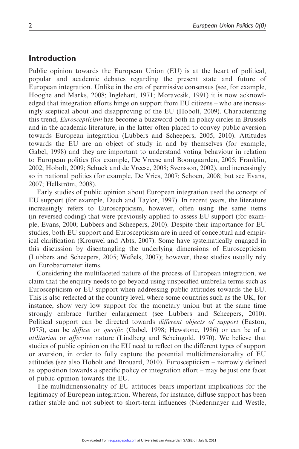#### Introduction

Public opinion towards the European Union (EU) is at the heart of political, popular and academic debates regarding the present state and future of European integration. Unlike in the era of permissive consensus (see, for example, Hooghe and Marks, 2008; Inglehart, 1971; Moravcsik, 1991) it is now acknowledged that integration efforts hinge on support from EU citizens – who are increasingly sceptical about and disapproving of the EU (Hobolt, 2009). Characterizing this trend, *Euroscepticism* has become a buzzword both in policy circles in Brussels and in the academic literature, in the latter often placed to convey public aversion towards European integration (Lubbers and Scheepers, 2005, 2010). Attitudes towards the EU are an object of study in and by themselves (for example, Gabel, 1998) and they are important to understand voting behaviour in relation to European politics (for example, De Vreese and Boomgaarden, 2005; Franklin, 2002; Hobolt, 2009; Schuck and de Vreese, 2008; Svensson, 2002), and increasingly so in national politics (for example, De Vries, 2007; Schoen, 2008; but see Evans, 2007; Hellström, 2008).

Early studies of public opinion about European integration used the concept of EU support (for example, Duch and Taylor, 1997). In recent years, the literature increasingly refers to Euroscepticism, however, often using the same items (in reversed coding) that were previously applied to assess EU support (for example, Evans, 2000; Lubbers and Scheepers, 2010). Despite their importance for EU studies, both EU support and Euroscepticism are in need of conceptual and empirical clarification (Krouwel and Abts, 2007). Some have systematically engaged in this discussion by disentangling the underlying dimensions of Euroscepticism (Lubbers and Scheepers, 2005; Weßels, 2007); however, these studies usually rely on Eurobarometer items.

Considering the multifaceted nature of the process of European integration, we claim that the enquiry needs to go beyond using unspecified umbrella terms such as Euroscepticism or EU support when addressing public attitudes towards the EU. This is also reflected at the country level, where some countries such as the UK, for instance, show very low support for the monetary union but at the same time strongly embrace further enlargement (see Lubbers and Scheepers, 2010). Political support can be directed towards *different objects of support* (Easton, 1975), can be diffuse or specific (Gabel, 1998; Hewstone, 1986) or can be of a utilitarian or affective nature (Lindberg and Scheingold, 1970). We believe that studies of public opinion on the EU need to reflect on the different types of support or aversion, in order to fully capture the potential multidimensionality of EU attitudes (see also Hobolt and Brouard, 2010). Euroscepticism – narrowly defined as opposition towards a specific policy or integration effort – may be just one facet of public opinion towards the EU.

The multidimensionality of EU attitudes bears important implications for the legitimacy of European integration. Whereas, for instance, diffuse support has been rather stable and not subject to short-term influences (Niedermayer and Westle,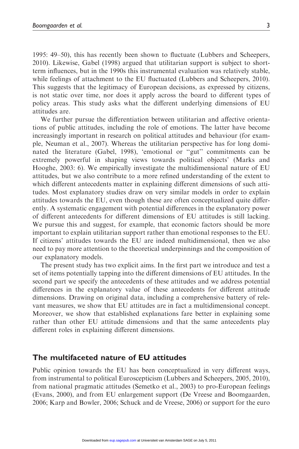1995: 49–50), this has recently been shown to fluctuate (Lubbers and Scheepers, 2010). Likewise, Gabel (1998) argued that utilitarian support is subject to shortterm influences, but in the 1990s this instrumental evaluation was relatively stable, while feelings of attachment to the EU fluctuated (Lubbers and Scheepers, 2010). This suggests that the legitimacy of European decisions, as expressed by citizens, is not static over time, nor does it apply across the board to different types of policy areas. This study asks what the different underlying dimensions of EU attitudes are.

We further pursue the differentiation between utilitarian and affective orientations of public attitudes, including the role of emotions. The latter have become increasingly important in research on political attitudes and behaviour (for example, Neuman et al., 2007). Whereas the utilitarian perspective has for long dominated the literature (Gabel, 1998), 'emotional or ''gut'' commitments can be extremely powerful in shaping views towards political objects' (Marks and Hooghe, 2003: 6). We empirically investigate the multidimensional nature of EU attitudes, but we also contribute to a more refined understanding of the extent to which different antecedents matter in explaining different dimensions of such attitudes. Most explanatory studies draw on very similar models in order to explain attitudes towards the EU, even though these are often conceptualized quite differently. A systematic engagement with potential differences in the explanatory power of different antecedents for different dimensions of EU attitudes is still lacking. We pursue this and suggest, for example, that economic factors should be more important to explain utilitarian support rather than emotional responses to the EU. If citizens' attitudes towards the EU are indeed multidimensional, then we also need to pay more attention to the theoretical underpinnings and the composition of our explanatory models.

The present study has two explicit aims. In the first part we introduce and test a set of items potentially tapping into the different dimensions of EU attitudes. In the second part we specify the antecedents of these attitudes and we address potential differences in the explanatory value of these antecedents for different attitude dimensions. Drawing on original data, including a comprehensive battery of relevant measures, we show that EU attitudes are in fact a multidimensional concept. Moreover, we show that established explanations fare better in explaining some rather than other EU attitude dimensions and that the same antecedents play different roles in explaining different dimensions.

#### The multifaceted nature of EU attitudes

Public opinion towards the EU has been conceptualized in very different ways, from instrumental to political Euroscepticism (Lubbers and Scheepers, 2005, 2010), from national pragmatic attitudes (Semetko et al., 2003) to pro-European feelings (Evans, 2000), and from EU enlargement support (De Vreese and Boomgaarden, 2006; Karp and Bowler, 2006; Schuck and de Vreese, 2006) or support for the euro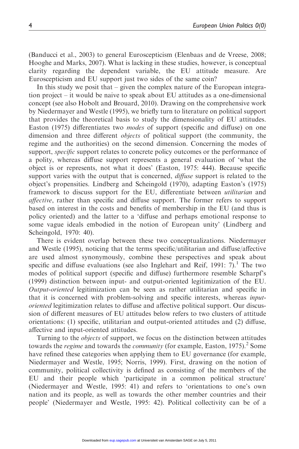(Banducci et al., 2003) to general Euroscepticism (Elenbaas and de Vreese, 2008; Hooghe and Marks, 2007). What is lacking in these studies, however, is conceptual clarity regarding the dependent variable, the EU attitude measure. Are Euroscepticism and EU support just two sides of the same coin?

In this study we posit that – given the complex nature of the European integration project – it would be naive to speak about EU attitudes as a one-dimensional concept (see also Hobolt and Brouard, 2010). Drawing on the comprehensive work by Niedermayer and Westle (1995), we briefly turn to literature on political support that provides the theoretical basis to study the dimensionality of EU attitudes. Easton (1975) differentiates two modes of support (specific and diffuse) on one dimension and three different *objects* of political support (the community, the regime and the authorities) on the second dimension. Concerning the modes of support, *specific* support relates to concrete policy outcomes or the performance of a polity, whereas diffuse support represents a general evaluation of 'what the object is or represents, not what it does' (Easton, 1975: 444). Because specific support varies with the output that is concerned, *diffuse* support is related to the object's propensities. Lindberg and Scheingold (1970), adapting Easton's (1975) framework to discuss support for the EU, differentiate between *utilitarian* and *affective*, rather than specific and diffuse support. The former refers to support based on interest in the costs and benefits of membership in the EU (and thus is policy oriented) and the latter to a 'diffuse and perhaps emotional response to some vague ideals embodied in the notion of European unity' (Lindberg and Scheingold, 1970: 40).

There is evident overlap between these two conceptualizations. Niedermayer and Westle (1995), noticing that the terms specific/utilitarian and diffuse/affective are used almost synonymously, combine these perspectives and speak about specific and diffuse evaluations (see also Inglehart and Reif, 1991: 7).<sup>1</sup> The two modes of political support (specific and diffuse) furthermore resemble Scharpf's (1999) distinction between input- and output-oriented legitimization of the EU. Output-oriented legitimization can be seen as rather utilitarian and specific in that it is concerned with problem-solving and specific interests, whereas *input*oriented legitimization relates to diffuse and affective political support. Our discussion of different measures of EU attitudes below refers to two clusters of attitude orientations: (1) specific, utilitarian and output-oriented attitudes and (2) diffuse, affective and input-oriented attitudes.

Turning to the *objects* of support, we focus on the distinction between attitudes towards the *regime* and towards the *community* (for example, Easton, 1975).<sup>2</sup> Some have refined these categories when applying them to EU governance (for example, Niedermayer and Westle, 1995; Norris, 1999). First, drawing on the notion of community, political collectivity is defined as consisting of the members of the EU and their people which 'participate in a common political structure' (Niedermayer and Westle, 1995: 41) and refers to 'orientations to one's own nation and its people, as well as towards the other member countries and their people' (Niedermayer and Westle, 1995: 42). Political collectivity can be of a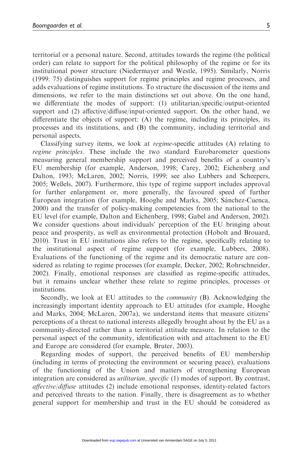territorial or a personal nature. Second, attitudes towards the regime (the political order) can relate to support for the political philosophy of the regime or for its institutional power structure (Niedermayer and Westle, 1995). Similarly, Norris (1999: 75) distinguishes support for regime principles and regime processes, and adds evaluations of regime institutions. To structure the discussion of the items and dimensions, we refer to the main distinctions set out above. On the one hand, we differentiate the modes of support: (1) utilitarian/specific/output-oriented support and (2) affective/diffuse/input-oriented support. On the other hand, we differentiate the objects of support: (A) the regime, including its principles, its processes and its institutions, and (B) the community, including territorial and personal aspects.

Classifying survey items, we look at regime-specific attitudes (A) relating to regime principles. These include the two standard Eurobarometer questions measuring general membership support and perceived benefits of a country's EU membership (for example, Anderson, 1998; Carey, 2002; Eichenberg and Dalton, 1993; McLaren, 2002; Norris, 1999; see also Lubbers and Scheepers, 2005; Weßels, 2007). Furthermore, this type of regime support includes approval for further enlargement or, more generally, the favoured speed of further European integration (for example, Hooghe and Marks, 2005; Sánchez-Cuenca, 2000) and the transfer of policy-making competencies from the national to the EU level (for example, Dalton and Eichenberg, 1998; Gabel and Anderson, 2002). We consider questions about individuals' perception of the EU bringing about peace and prosperity, as well as environmental protection (Hobolt and Brouard, 2010). Trust in EU institutions also refers to the regime, specifically relating to the institutional aspect of regime support (for example, Lubbers, 2008). Evaluations of the functioning of the regime and its democratic nature are considered as relating to regime processes (for example, Decker, 2002; Rohrschneider, 2002). Finally, emotional responses are classified as regime-specific attitudes, but it remains unclear whether these relate to regime principles, processes or institutions.

Secondly, we look at EU attitudes to the community (B). Acknowledging the increasingly important identity approach to EU attitudes (for example, Hooghe and Marks, 2004; McLaren, 2007a), we understand items that measure citizens' perceptions of a threat to national interests allegedly brought about by the EU as a community-directed rather than a territorial attitude measure. In relation to the personal aspect of the community, identification with and attachment to the EU and Europe are considered (for example, Bruter, 2003).

Regarding modes of support, the perceived benefits of EU membership (including in terms of protecting the environment or securing peace), evaluations of the functioning of the Union and matters of strengthening European integration are considered as *utilitarian, specific* (1) modes of support. By contrast, affective/diffuse attitudes (2) include emotional responses, identity-related factors and perceived threats to the nation. Finally, there is disagreement as to whether general support for membership and trust in the EU should be considered as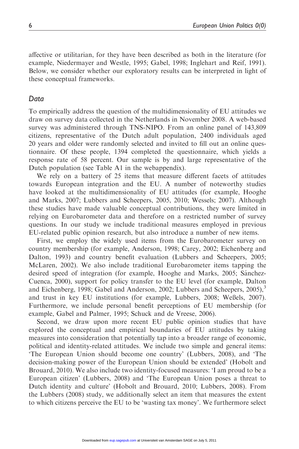affective or utilitarian, for they have been described as both in the literature (for example, Niedermayer and Westle, 1995; Gabel, 1998; Inglehart and Reif, 1991). Below, we consider whether our exploratory results can be interpreted in light of these conceptual frameworks.

#### Data

To empirically address the question of the multidimensionality of EU attitudes we draw on survey data collected in the Netherlands in November 2008. A web-based survey was administered through TNS-NIPO. From an online panel of 143,809 citizens, representative of the Dutch adult population, 2400 individuals aged 20 years and older were randomly selected and invited to fill out an online questionnaire. Of these people, 1394 completed the questionnaire, which yields a response rate of 58 percent. Our sample is by and large representative of the Dutch population (see Table A1 in the webappendix).

We rely on a battery of 25 items that measure different facets of attitudes towards European integration and the EU. A number of noteworthy studies have looked at the multidimensionality of EU attitudes (for example, Hooghe and Marks, 2007; Lubbers and Scheepers, 2005, 2010; Wessels; 2007). Although these studies have made valuable conceptual contributions, they were limited in relying on Eurobarometer data and therefore on a restricted number of survey questions. In our study we include traditional measures employed in previous EU-related public opinion research, but also introduce a number of new items.

First, we employ the widely used items from the Eurobarometer survey on country membership (for example, Anderson, 1998; Carey, 2002; Eichenberg and Dalton, 1993) and country benefit evaluation (Lubbers and Scheepers, 2005; McLaren, 2002). We also include traditional Eurobarometer items tapping the desired speed of integration (for example, Hooghe and Marks, 2005; Sánchez-Cuenca, 2000), support for policy transfer to the EU level (for example, Dalton and Eichenberg, 1998; Gabel and Anderson, 2002; Lubbers and Scheepers,  $2005$ ), $3$ and trust in key EU institutions (for example, Lubbers, 2008; Weßels, 2007). Furthermore, we include personal benefit perceptions of EU membership (for example, Gabel and Palmer, 1995; Schuck and de Vreese, 2006).

Second, we draw upon more recent EU public opinion studies that have explored the conceptual and empirical boundaries of EU attitudes by taking measures into consideration that potentially tap into a broader range of economic, political and identity-related attitudes. We include two simple and general items: 'The European Union should become one country' (Lubbers, 2008), and 'The decision-making power of the European Union should be extended' (Hobolt and Brouard, 2010). We also include two identity-focused measures: 'I am proud to be a European citizen' (Lubbers, 2008) and 'The European Union poses a threat to Dutch identity and culture' (Hobolt and Brouard, 2010; Lubbers, 2008). From the Lubbers (2008) study, we additionally select an item that measures the extent to which citizens perceive the EU to be 'wasting tax money'. We furthermore select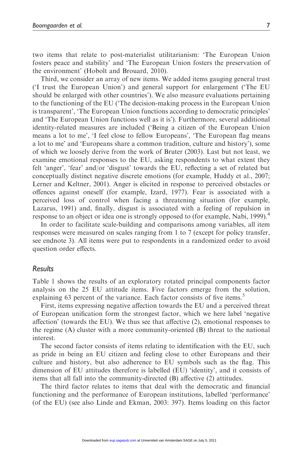two items that relate to post-materialist utilitarianism: 'The European Union fosters peace and stability' and 'The European Union fosters the preservation of the environment' (Hobolt and Brouard, 2010).

Third, we consider an array of new items. We added items gauging general trust ('I trust the European Union') and general support for enlargement ('The EU should be enlarged with other countries'). We also measure evaluations pertaining to the functioning of the EU ('The decision-making process in the European Union is transparent', 'The European Union functions according to democratic principles' and 'The European Union functions well as it is'). Furthermore, several additional identity-related measures are included ('Being a citizen of the European Union means a lot to me', 'I feel close to fellow Europeans', 'The European flag means a lot to me' and 'Europeans share a common tradition, culture and history'), some of which we loosely derive from the work of Bruter (2003). Last but not least, we examine emotional responses to the EU, asking respondents to what extent they felt 'anger', 'fear' and/or 'disgust' towards the EU, reflecting a set of related but conceptually distinct negative discrete emotions (for example, Huddy et al., 2007; Lerner and Keltner, 2001). Anger is elicited in response to perceived obstacles or offences against oneself (for example, Izard, 1977). Fear is associated with a perceived loss of control when facing a threatening situation (for example, Lazarus, 1991) and, finally, disgust is associated with a feeling of repulsion in response to an object or idea one is strongly opposed to (for example, Nabi, 1999).<sup>4</sup>

In order to facilitate scale-building and comparisons among variables, all item responses were measured on scales ranging from 1 to 7 (except for policy transfer, see endnote 3). All items were put to respondents in a randomized order to avoid question order effects.

#### Results

Table 1 shows the results of an exploratory rotated principal components factor analysis on the 25 EU attitude items. Five factors emerge from the solution, explaining 63 percent of the variance. Each factor consists of five items.<sup>5</sup>

First, items expressing negative affection towards the EU and a perceived threat of European unification form the strongest factor, which we here label 'negative affection' (towards the EU). We thus see that affective (2), emotional responses to the regime (A) cluster with a more community-oriented (B) threat to the national interest.

The second factor consists of items relating to identification with the EU, such as pride in being an EU citizen and feeling close to other Europeans and their culture and history, but also adherence to EU symbols such as the flag. This dimension of EU attitudes therefore is labelled (EU) 'identity', and it consists of items that all fall into the community-directed (B) affective (2) attitudes.

The third factor relates to items that deal with the democratic and financial functioning and the performance of European institutions, labelled 'performance' (of the EU) (see also Linde and Ekman, 2003: 397). Items loading on this factor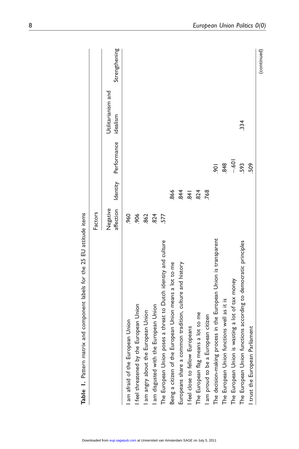| table 1. Table 1. Table 1. Table 1. Table 1. Table 1. Table 1. Table 1. Table 1. Table 1. Table 1. Table |                       |                |                |                                |               |
|----------------------------------------------------------------------------------------------------------|-----------------------|----------------|----------------|--------------------------------|---------------|
|                                                                                                          | Factors               |                |                |                                |               |
|                                                                                                          | affection<br>Negative | Identity       | Performance    | Utilitarianism and<br>idealism | Strengthening |
| am afraid of the European Union                                                                          | 960                   |                |                |                                |               |
| feel threatened by the European Union                                                                    | 906                   |                |                |                                |               |
| am angry about the European Union                                                                        | .862                  |                |                |                                |               |
| European Union<br>am disgusted with the                                                                  | 824                   |                |                |                                |               |
| The European Union poses a threat to Dutch identity and culture                                          | 577                   |                |                |                                |               |
| Being a citizen of the European Union means a lot to me                                                  |                       | 866            |                |                                |               |
| Europeans share a common tradition, culture and history                                                  |                       | 844            |                |                                |               |
| I feel close to fellow Europeans                                                                         |                       | $\overline{4}$ |                |                                |               |
| The European flag means a lot to me                                                                      |                       | 824            |                |                                |               |
| am proud to be a European citizen                                                                        |                       | 768            |                |                                |               |
| The decision-making process in the European Union is transparent                                         |                       |                | $\overline{5}$ |                                |               |
| The European Union functions well as it is                                                               |                       |                | 848            |                                |               |
| The European Union is wasting a lot of tax money                                                         |                       |                | $-601$         |                                |               |
| The European Union functions according to democratic principles                                          |                       |                | 593            | 334                            |               |
| trust the European Parliament                                                                            |                       |                | 509            |                                |               |
|                                                                                                          |                       |                |                |                                | (continued)   |

Table 1. Pattern matrix and component labels for the 25 EU attitude items Table 1. Pattern matrix and component labels for the 25 EU attitude items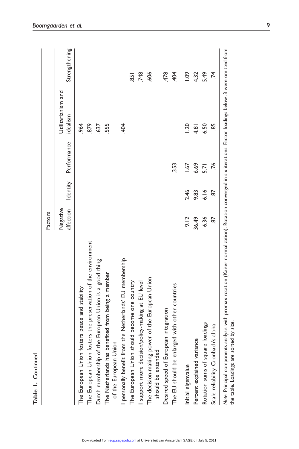|                                                                                                                                                                                                              | Factors               |          |             |                                |                 |
|--------------------------------------------------------------------------------------------------------------------------------------------------------------------------------------------------------------|-----------------------|----------|-------------|--------------------------------|-----------------|
|                                                                                                                                                                                                              | affection<br>Negative | Identity | Performance | Utilitarianism and<br>idealism | Strengthening   |
| The European Union fosters peace and stability                                                                                                                                                               |                       |          |             | .964                           |                 |
| The European Union fosters the preservation of the environment                                                                                                                                               |                       |          |             | 879                            |                 |
| the European Union is a good thing<br>Dutch membership of                                                                                                                                                    |                       |          |             | 637                            |                 |
| benefited from being a member<br>of the European Union<br>The Netherlands has h                                                                                                                              |                       |          |             | 555                            |                 |
| personally benefit from the Netherlands' EU membership                                                                                                                                                       |                       |          |             | 404                            |                 |
| The European Union should become one country                                                                                                                                                                 |                       |          |             |                                | $\overline{85}$ |
| support more decision/policy-making at EU level                                                                                                                                                              |                       |          |             |                                | 748             |
| The decision-making power of the European Union<br>should be extended                                                                                                                                        |                       |          |             |                                | 606             |
| Desired speed of European integration                                                                                                                                                                        |                       |          |             |                                | 478             |
| The EU should be enlarged with other countries                                                                                                                                                               |                       |          | 353         |                                | 404             |
| Initial eigenvalue                                                                                                                                                                                           | 9.12                  | 2.46     | 1.67        | 20                             | 0.09            |
| Percent explained variance                                                                                                                                                                                   | 36.49                 | 9.83     | 6.69        | 4.81                           | 4.32            |
| Rotation sums of square loadings                                                                                                                                                                             | 6.36                  | 6.16     | 5.71        | 6.50                           | 5.49            |
| Scale reliability Cronbach's alpha                                                                                                                                                                           | 59                    | 87       | .76         | 89                             | $\vec{r}$       |
| Note: Principal components analysis with promax rotation (Kaiser normalization). Rotation converged in six iterations. Factor loadings below .3 were omitted from<br>the table. Loadings are sorted by size. |                       |          |             |                                |                 |

Table 1. Continued

Table 1. Continued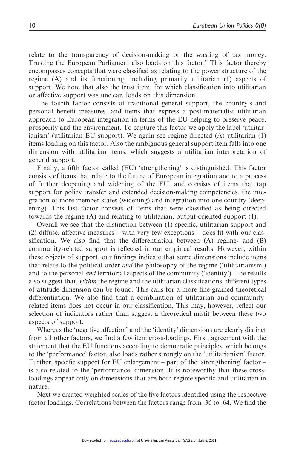relate to the transparency of decision-making or the wasting of tax money. Trusting the European Parliament also loads on this factor.<sup>6</sup> This factor thereby encompasses concepts that were classified as relating to the power structure of the regime (A) and its functioning, including primarily utilitarian (1) aspects of support. We note that also the trust item, for which classification into utilitarian or affective support was unclear, loads on this dimension.

The fourth factor consists of traditional general support, the country's and personal benefit measures, and items that express a post-materialist utilitarian approach to European integration in terms of the EU helping to preserve peace, prosperity and the environment. To capture this factor we apply the label 'utilitarianism' (utilitarian EU support). We again see regime-directed (A) utilitarian (1) items loading on this factor. Also the ambiguous general support item falls into one dimension with utilitarian items, which suggests a utilitarian interpretation of general support.

Finally, a fifth factor called (EU) 'strengthening' is distinguished. This factor consists of items that relate to the future of European integration and to a process of further deepening and widening of the EU, and consists of items that tap support for policy transfer and extended decision-making competencies, the integration of more member states (widening) and integration into one country (deepening). This last factor consists of items that were classified as being directed towards the regime (A) and relating to utilitarian, output-oriented support (1).

Overall we see that the distinction between (1) specific, utilitarian support and (2) diffuse, affective measures – with very few exceptions – does fit with our classification. We also find that the differentiation between  $(A)$  regime- and  $(B)$ community-related support is reflected in our empirical results. However, within these objects of support, our findings indicate that some dimensions include items that relate to the political order *and* the philosophy of the regime ('utilitarianism') and to the personal *and* territorial aspects of the community ('identity'). The results also suggest that, *within* the regime and the utilitarian classifications, different types of attitude dimension can be found. This calls for a more fine-grained theoretical differentiation. We also find that a combination of utilitarian and communityrelated items does not occur in our classification. This may, however, reflect our selection of indicators rather than suggest a theoretical misfit between these two aspects of support.

Whereas the 'negative affection' and the 'identity' dimensions are clearly distinct from all other factors, we find a few item cross-loadings. First, agreement with the statement that the EU functions according to democratic principles, which belongs to the 'performance' factor, also loads rather strongly on the 'utilitarianism' factor. Further, specific support for EU enlargement – part of the 'strengthening' factor – is also related to the 'performance' dimension. It is noteworthy that these crossloadings appear only on dimensions that are both regime specific and utilitarian in nature.

Next we created weighted scales of the five factors identified using the respective factor loadings. Correlations between the factors range from .36 to .64. We find the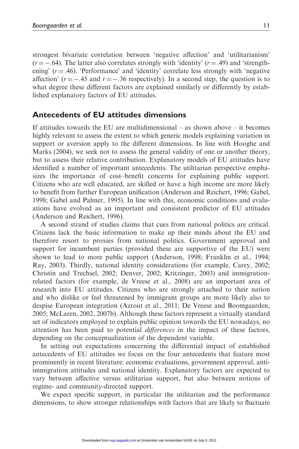strongest bivariate correlation between 'negative affection' and 'utilitarianism'  $(r = -.64)$ . The latter also correlates strongly with 'identity'  $(r = .49)$  and 'strengthening'  $(r = .46)$ . 'Performance' and 'identity' correlate less strongly with 'negative affection'  $(r = -.45$  and  $r = -.36$  respectively). In a second step, the question is to what degree these different factors are explained similarly or differently by established explanatory factors of EU attitudes.

#### Antecedents of EU attitudes dimensions

If attitudes towards the EU are multidimensional – as shown above – it becomes highly relevant to assess the extent to which generic models explaining variation in support or aversion apply to the different dimensions. In line with Hooghe and Marks (2004), we seek not to assess the general validity of one or another theory, but to assess their relative contribution. Explanatory models of EU attitudes have identified a number of important antecedents. The utilitarian perspective emphasizes the importance of cost–benefit concerns for explaining public support. Citizens who are well educated, are skilled or have a high income are more likely to benefit from further European unification (Anderson and Reichert, 1996; Gabel, 1998; Gabel and Palmer, 1995). In line with this, economic conditions and evaluations have evolved as an important and consistent predictor of EU attitudes (Anderson and Reichert, 1996).

A second strand of studies claims that cues from national politics are critical. Citizens lack the basic information to make up their minds about the EU and therefore resort to proxies from national politics. Government approval and support for incumbent parties (provided these are supportive of the EU) were shown to lead to more public support (Anderson, 1998; Franklin et al., 1994; Ray, 2003). Thirdly, national identity considerations (for example, Carey, 2002; Christin and Trechsel, 2002; Denver, 2002; Kritzinger, 2003) and immigrationrelated factors (for example, de Vreese et al., 2008) are an important area of research into EU attitudes. Citizens who are strongly attached to their nation and who dislike or feel threatened by immigrant groups are more likely also to despise European integration (Azrout et al., 2011; De Vreese and Boomgaarden, 2005; McLaren, 2002, 2007b). Although these factors represent a virtually standard set of indicators employed to explain public opinion towards the EU nowadays, no attention has been paid to potential differences in the impact of these factors, depending on the conceptualization of the dependent variable.

In setting out expectations concerning the differential impact of established antecedents of EU attitudes we focus on the four antecedents that feature most prominently in recent literature: economic evaluations, government approval, antiimmigration attitudes and national identity. Explanatory factors are expected to vary between affective versus utilitarian support, but also between notions of regime- and community-directed support.

We expect specific support, in particular the utilitarian and the performance dimensions, to show stronger relationships with factors that are likely to fluctuate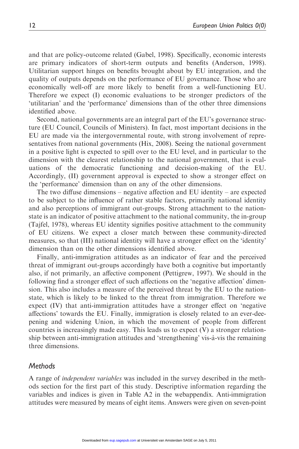and that are policy-outcome related (Gabel, 1998). Specifically, economic interests are primary indicators of short-term outputs and benefits (Anderson, 1998). Utilitarian support hinges on benefits brought about by EU integration, and the quality of outputs depends on the performance of EU governance. Those who are economically well-off are more likely to benefit from a well-functioning EU. Therefore we expect (I) economic evaluations to be stronger predictors of the 'utilitarian' and the 'performance' dimensions than of the other three dimensions identified above.

Second, national governments are an integral part of the EU's governance structure (EU Council, Councils of Ministers). In fact, most important decisions in the EU are made via the intergovernmental route, with strong involvement of representatives from national governments (Hix, 2008). Seeing the national government in a positive light is expected to spill over to the EU level, and in particular to the dimension with the clearest relationship to the national government, that is evaluations of the democratic functioning and decision-making of the EU. Accordingly, (II) government approval is expected to show a stronger effect on the 'performance' dimension than on any of the other dimensions.

The two diffuse dimensions – negative affection and EU identity – are expected to be subject to the influence of rather stable factors, primarily national identity and also perceptions of immigrant out-groups. Strong attachment to the nationstate is an indicator of positive attachment to the national community, the in-group (Tajfel, 1978), whereas EU identity signifies positive attachment to the community of EU citizens. We expect a closer match between these community-directed measures, so that (III) national identity will have a stronger effect on the 'identity' dimension than on the other dimensions identified above.

Finally, anti-immigration attitudes as an indicator of fear and the perceived threat of immigrant out-groups accordingly have both a cognitive but importantly also, if not primarily, an affective component (Pettigrew, 1997). We should in the following find a stronger effect of such affections on the 'negative affection' dimension. This also includes a measure of the perceived threat by the EU to the nationstate, which is likely to be linked to the threat from immigration. Therefore we expect (IV) that anti-immigration attitudes have a stronger effect on 'negative affections' towards the EU. Finally, immigration is closely related to an ever-deepening and widening Union, in which the movement of people from different countries is increasingly made easy. This leads us to expect (V) a stronger relationship between anti-immigration attitudes and 'strengthening' vis-a`-vis the remaining three dimensions.

#### Methods

A range of independent variables was included in the survey described in the methods section for the first part of this study. Descriptive information regarding the variables and indices is given in Table A2 in the webappendix. Anti-immigration attitudes were measured by means of eight items. Answers were given on seven-point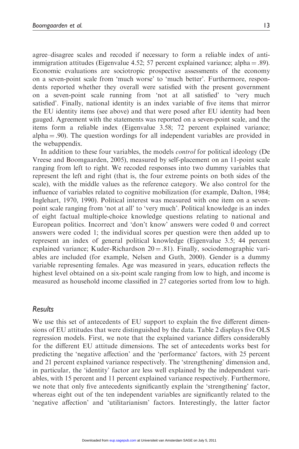agree–disagree scales and recoded if necessary to form a reliable index of antiimmigration attitudes (Eigenvalue 4.52; 57 percent explained variance; alpha  $=$  .89). Economic evaluations are sociotropic prospective assessments of the economy on a seven-point scale from 'much worse' to 'much better'. Furthermore, respondents reported whether they overall were satisfied with the present government on a seven-point scale running from 'not at all satisfied' to 'very much satisfied'. Finally, national identity is an index variable of five items that mirror the EU identity items (see above) and that were posed after EU identity had been gauged. Agreement with the statements was reported on a seven-point scale, and the items form a reliable index (Eigenvalue 3.58; 72 percent explained variance; alpha  $= .90$ ). The question wordings for all independent variables are provided in the webappendix.

In addition to these four variables, the models *control* for political ideology (De Vreese and Boomgaarden, 2005), measured by self-placement on an 11-point scale ranging from left to right. We recoded responses into two dummy variables that represent the left and right (that is, the four extreme points on both sides of the scale), with the middle values as the reference category. We also control for the influence of variables related to cognitive mobilization (for example, Dalton, 1984; Inglehart, 1970, 1990). Political interest was measured with one item on a sevenpoint scale ranging from 'not at all' to 'very much'. Political knowledge is an index of eight factual multiple-choice knowledge questions relating to national and European politics. Incorrect and 'don't know' answers were coded 0 and correct answers were coded 1; the individual scores per question were then added up to represent an index of general political knowledge (Eigenvalue 3.5; 44 percent explained variance; Kuder-Richardson  $20 = .81$ ). Finally, sociodemographic variables are included (for example, Nelsen and Guth, 2000). Gender is a dummy variable representing females. Age was measured in years, education reflects the highest level obtained on a six-point scale ranging from low to high, and income is measured as household income classified in 27 categories sorted from low to high.

#### Results

We use this set of antecedents of EU support to explain the five different dimensions of EU attitudes that were distinguished by the data. Table 2 displays five OLS regression models. First, we note that the explained variance differs considerably for the different EU attitude dimensions. The set of antecedents works best for predicting the 'negative affection' and the 'performance' factors, with 25 percent and 21 percent explained variance respectively. The 'strengthening' dimension and, in particular, the 'identity' factor are less well explained by the independent variables, with 15 percent and 11 percent explained variance respectively. Furthermore, we note that only five antecedents significantly explain the 'strengthening' factor, whereas eight out of the ten independent variables are significantly related to the 'negative affection' and 'utilitarianism' factors. Interestingly, the latter factor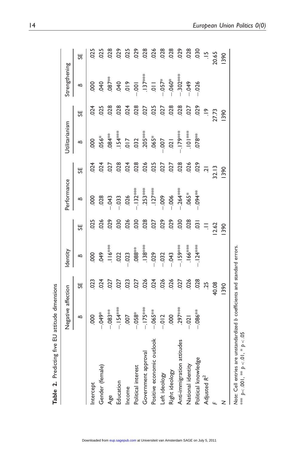|                            | Negative affection                                                         |                          | dentity                                             |                | Performance                |                                                  | Jtilitarianism     |               | Strengthening                                                                                                                                                          |                |
|----------------------------|----------------------------------------------------------------------------|--------------------------|-----------------------------------------------------|----------------|----------------------------|--------------------------------------------------|--------------------|---------------|------------------------------------------------------------------------------------------------------------------------------------------------------------------------|----------------|
|                            | ≏                                                                          | 55                       | ≏                                                   | 55             | $\mathbf{B}$               | 55                                               | ≏                  | 55            | ≏                                                                                                                                                                      | 55             |
| Intercept                  | 000                                                                        | 023                      | 000                                                 | 025            | 000.                       |                                                  | 000                | 024           | 000.                                                                                                                                                                   | 025            |
| Gender (female)            | $-049*$                                                                    |                          |                                                     |                |                            |                                                  |                    |               | 040                                                                                                                                                                    | 025            |
| Age                        |                                                                            | 024<br>027<br>027<br>027 | $.049$<br>$-116$ <sup>343</sup><br>$-022$<br>$-023$ | 888888         | $028$<br>$-043$<br>$-033$  | 3 3 3 3 3 3 3 3 3 5 7<br>3 4 5 6 9 3 3 3 5 6 7 7 |                    | 3388382538    | $-387$<br>$-399$<br>$-375$<br>$-375$<br>$-375$<br>$-375$<br>$-375$<br>$-375$<br>$-375$<br>$-375$<br>$-375$<br>$-375$<br>$-375$<br>$-375$<br>$-375$<br>$-375$<br>$-375$ | 028            |
| Education                  | –.083 <sup>≉≉</sup><br>–.154 <sup>≉≉≵</sup>                                |                          |                                                     |                |                            |                                                  |                    |               |                                                                                                                                                                        | .029           |
| Income                     |                                                                            |                          |                                                     |                |                            |                                                  |                    |               |                                                                                                                                                                        | $025$<br>$029$ |
| Political interest         | $-0.05$<br>$-0.05$<br>$-1.75$<br>$-0.05$<br>$-0.012$<br>$-0.00$<br>$-0.00$ |                          | $-088$ **<br><br><br><br><br><br><br>               |                | .026<br>--132***<br>253*** |                                                  |                    |               |                                                                                                                                                                        |                |
| Government approval        |                                                                            |                          |                                                     |                |                            |                                                  |                    |               |                                                                                                                                                                        | .028           |
| Positive economic outlook  |                                                                            |                          |                                                     |                |                            |                                                  |                    |               |                                                                                                                                                                        | .026           |
| Left ideology              |                                                                            | 024<br>025<br>027<br>027 | $-0.32$                                             |                | $-0.009$                   |                                                  |                    |               |                                                                                                                                                                        | 0.028          |
| Right ideology             |                                                                            |                          | $-0.43$                                             |                | $-0.06$                    |                                                  | 021                |               |                                                                                                                                                                        |                |
| Anti-immigration attitudes |                                                                            |                          | -.I59***                                            | .030           | $-0.264***$                | 028<br>026<br>029                                | $-179***$          | 0.028         | $-302$ ***                                                                                                                                                             | 029            |
| National identity          | $-021$                                                                     | 026                      | $.166***$                                           | 0.028          | $.065*$                    |                                                  | $\frac{1}{2}$ 101* |               | <b>949</b> .                                                                                                                                                           | .028           |
| Political knowledge        | $-086**$                                                                   | 028                      | $.124***$                                           | $\overline{3}$ | $-094$                     |                                                  | $078**$            | 029           | $-0.026$                                                                                                                                                               | 030            |
| Adjusted R <sup>2</sup>    |                                                                            | 25                       |                                                     | $\equiv$       |                            | $\overline{a}$                                   |                    | $\frac{8}{1}$ |                                                                                                                                                                        | $\frac{5}{1}$  |
|                            |                                                                            | 40.08                    |                                                     | 2.62           |                            | 32.13                                            |                    | <b>27.73</b>  |                                                                                                                                                                        | 20.65          |
|                            |                                                                            | 1390                     |                                                     | 390            |                            | <b>SPO</b>                                       |                    | 390           |                                                                                                                                                                        | 1390           |
| $\bar{c}$                  |                                                                            |                          |                                                     |                |                            |                                                  |                    |               |                                                                                                                                                                        |                |

Table 2. Predicting five EU attitude dimensions Table 2. Predicting five EU attitude dimensions

Note: Cell entries are unstandardized b coefficients and standard errors.<br>\*\*\* p<.001, \*\* p<.05 Note: Cell entries are unstandardized b coefficients and standard errors. \*\*\* p<.001, \*\* p <.01, \* p <.05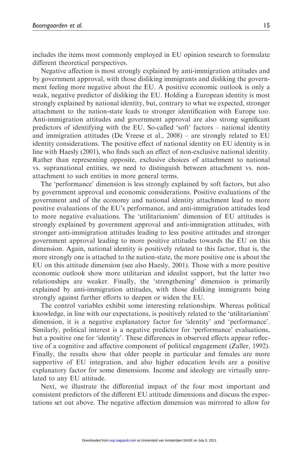includes the items most commonly employed in EU opinion research to formulate different theoretical perspectives.

Negative affection is most strongly explained by anti-immigration attitudes and by government approval, with those disliking immigrants and disliking the government feeling more negative about the EU. A positive economic outlook is only a weak, negative predictor of disliking the EU. Holding a European identity is most strongly explained by national identity, but, contrary to what we expected, stronger attachment to the nation-state leads to stronger identification with Europe too. Anti-immigration attitudes and government approval are also strong significant predictors of identifying with the EU. So-called 'soft' factors – national identity and immigration attitudes (De Vreese et al., 2008) – are strongly related to EU identity considerations. The positive effect of national identity on EU identity is in line with Haesly (2001), who finds such an effect of non-exclusive national identity. Rather than representing opposite, exclusive choices of attachment to national vs. supranational entities, we need to distinguish between attachment vs. nonattachment to such entities in more general terms.

The 'performance' dimension is less strongly explained by soft factors, but also by government approval and economic considerations. Positive evaluations of the government and of the economy and national identity attachment lead to more positive evaluations of the EU's performance, and anti-immigration attitudes lead to more negative evaluations. The 'utilitarianism' dimension of EU attitudes is strongly explained by government approval and anti-immigration attitudes, with stronger anti-immigration attitudes leading to less positive attitudes and stronger government approval leading to more positive attitudes towards the EU on this dimension. Again, national identity is positively related to this factor, that is, the more strongly one is attached to the nation-state, the more positive one is about the EU on this attitude dimension (see also Haesly, 2001). Those with a more positive economic outlook show more utilitarian and idealist support, but the latter two relationships are weaker. Finally, the 'strengthening' dimension is primarily explained by anti-immigration attitudes, with those disliking immigrants being strongly against further efforts to deepen or widen the EU.

The control variables exhibit some interesting relationships. Whereas political knowledge, in line with our expectations, is positively related to the 'utilitarianism' dimension, it is a negative explanatory factor for 'identity' and 'performance'. Similarly, political interest is a negative predictor for 'performance' evaluations, but a positive one for 'identity'. These differences in observed effects appear reflective of a cognitive and affective component of political engagement (Zaller, 1992). Finally, the results show that older people in particular and females are more supportive of EU integration, and also higher education levels are a positive explanatory factor for some dimensions. Income and ideology are virtually unrelated to any EU attitude.

Next, we illustrate the differential impact of the four most important and consistent predictors of the different EU attitude dimensions and discuss the expectations set out above. The negative affection dimension was mirrored to allow for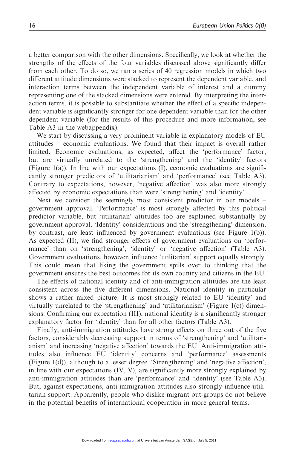a better comparison with the other dimensions. Specifically, we look at whether the strengths of the effects of the four variables discussed above significantly differ from each other. To do so, we ran a series of 40 regression models in which two different attitude dimensions were stacked to represent the dependent variable, and interaction terms between the independent variable of interest and a dummy representing one of the stacked dimensions were entered. By interpreting the interaction terms, it is possible to substantiate whether the effect of a specific independent variable is significantly stronger for one dependent variable than for the other dependent variable (for the results of this procedure and more information, see Table A3 in the webappendix).

We start by discussing a very prominent variable in explanatory models of EU attitudes – economic evaluations. We found that their impact is overall rather limited. Economic evaluations, as expected, affect the 'performance' factor, but are virtually unrelated to the 'strengthening' and the 'identity' factors (Figure 1(a)). In line with our expectations  $(I)$ , economic evaluations are significantly stronger predictors of 'utilitarianism' and 'performance' (see Table A3). Contrary to expectations, however, 'negative affection' was also more strongly affected by economic expectations than were 'strengthening' and 'identity'.

Next we consider the seemingly most consistent predictor in our models – government approval. 'Performance' is most strongly affected by this political predictor variable, but 'utilitarian' attitudes too are explained substantially by government approval. 'Identity' considerations and the 'strengthening' dimension, by contrast, are least influenced by government evaluations (see Figure 1(b)). As expected (II), we find stronger effects of government evaluations on 'performance' than on 'strengthening', 'identity' or 'negative affection' (Table A3). Government evaluations, however, influence 'utilitarian' support equally strongly. This could mean that liking the government spills over to thinking that the government ensures the best outcomes for its own country and citizens in the EU.

The effects of national identity and of anti-immigration attitudes are the least consistent across the five different dimensions. National identity in particular shows a rather mixed picture. It is most strongly related to EU 'identity' and virtually unrelated to the 'strengthening' and 'utilitarianism' (Figure 1(c)) dimensions. Confirming our expectation (III), national identity is a significantly stronger explanatory factor for 'identity' than for all other factors (Table A3).

Finally, anti-immigration attitudes have strong effects on three out of the five factors, considerably decreasing support in terms of 'strengthening' and 'utilitarianism' and increasing 'negative affection' towards the EU. Anti-immigration attitudes also influence EU 'identity' concerns and 'performance' assessments (Figure 1(d)), although to a lesser degree. 'Strengthening' and 'negative affection', in line with our expectations (IV, V), are significantly more strongly explained by anti-immigration attitudes than are 'performance' and 'identity' (see Table A3). But, against expectations, anti-immigration attitudes also strongly influence utilitarian support. Apparently, people who dislike migrant out-groups do not believe in the potential benefits of international cooperation in more general terms.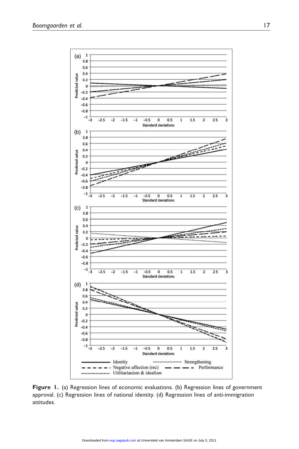

Figure 1. (a) Regression lines of economic evaluations. (b) Regression lines of government approval. (c) Regression lines of national identity. (d) Regression lines of anti-immigration attitudes.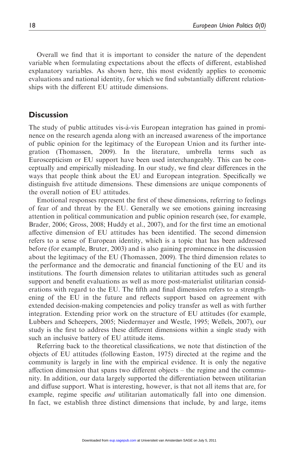Overall we find that it is important to consider the nature of the dependent variable when formulating expectations about the effects of different, established explanatory variables. As shown here, this most evidently applies to economic evaluations and national identity, for which we find substantially different relationships with the different EU attitude dimensions.

#### **Discussion**

The study of public attitudes vis-a`-vis European integration has gained in prominence on the research agenda along with an increased awareness of the importance of public opinion for the legitimacy of the European Union and its further integration (Thomassen, 2009). In the literature, umbrella terms such Euroscepticism or EU support have been used interchangeably. This can be conceptually and empirically misleading. In our study, we find clear differences in the ways that people think about the EU and European integration. Specifically we distinguish five attitude dimensions. These dimensions are unique components of the overall notion of EU attitudes.

Emotional responses represent the first of these dimensions, referring to feelings of fear of and threat by the EU. Generally we see emotions gaining increasing attention in political communication and public opinion research (see, for example, Brader, 2006; Gross, 2008; Huddy et al., 2007), and for the first time an emotional affective dimension of EU attitudes has been identified. The second dimension refers to a sense of European identity, which is a topic that has been addressed before (for example, Bruter, 2003) and is also gaining prominence in the discussion about the legitimacy of the EU (Thomassen, 2009). The third dimension relates to the performance and the democratic and financial functioning of the EU and its institutions. The fourth dimension relates to utilitarian attitudes such as general support and benefit evaluations as well as more post-materialist utilitarian considerations with regard to the EU. The fifth and final dimension refers to a strengthening of the EU in the future and reflects support based on agreement with extended decision-making competencies and policy transfer as well as with further integration. Extending prior work on the structure of EU attitudes (for example, Lubbers and Scheepers, 2005; Niedermayer and Westle, 1995; Weßels, 2007), our study is the first to address these different dimensions within a single study with such an inclusive battery of EU attitude items.

Referring back to the theoretical classifications, we note that distinction of the objects of EU attitudes (following Easton, 1975) directed at the regime and the community is largely in line with the empirical evidence. It is only the negative affection dimension that spans two different objects – the regime and the community. In addition, our data largely supported the differentiation between utilitarian and diffuse support. What is interesting, however, is that not all items that are, for example, regime specific *and* utilitarian automatically fall into one dimension. In fact, we establish three distinct dimensions that include, by and large, items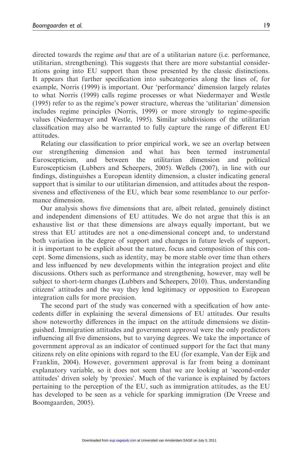directed towards the regime and that are of a utilitarian nature (i.e. performance, utilitarian, strengthening). This suggests that there are more substantial considerations going into EU support than those presented by the classic distinctions. It appears that further specification into subcategories along the lines of, for example, Norris (1999) is important. Our 'performance' dimension largely relates to what Norris (1999) calls regime processes or what Niedermayer and Westle (1995) refer to as the regime's power structure, whereas the 'utilitarian' dimension includes regime principles (Norris, 1999) or more strongly to regime-specific values (Niedermayer and Westle, 1995). Similar subdivisions of the utilitarian classification may also be warranted to fully capture the range of different EU attitudes.

Relating our classification to prior empirical work, we see an overlap between our strengthening dimension and what has been termed instrumental Euroscepticism, and between the utilitarian dimension and political Euroscepticism (Lubbers and Scheepers, 2005). Weßels (2007), in line with our findings, distinguishes a European identity dimension, a cluster indicating general support that is similar to our utilitarian dimension, and attitudes about the responsiveness and effectiveness of the EU, which bear some resemblance to our performance dimension.

Our analysis shows five dimensions that are, albeit related, genuinely distinct and independent dimensions of EU attitudes. We do not argue that this is an exhaustive list or that these dimensions are always equally important, but we stress that EU attitudes are not a one-dimensional concept and, to understand both variation in the degree of support and changes in future levels of support, it is important to be explicit about the nature, focus and composition of this concept. Some dimensions, such as identity, may be more stable over time than others and less influenced by new developments within the integration project and elite discussions. Others such as performance and strengthening, however, may well be subject to short-term changes (Lubbers and Scheepers, 2010). Thus, understanding citizens' attitudes and the way they lend legitimacy or opposition to European integration calls for more precision.

The second part of the study was concerned with a specification of how antecedents differ in explaining the several dimensions of EU attitudes. Our results show noteworthy differences in the impact on the attitude dimensions we distinguished. Immigration attitudes and government approval were the only predictors influencing all five dimensions, but to varying degrees. We take the importance of government approval as an indicator of continued support for the fact that many citizens rely on elite opinions with regard to the EU (for example, Van der Eijk and Franklin, 2004). However, government approval is far from being a dominant explanatory variable, so it does not seem that we are looking at 'second-order attitudes' driven solely by 'proxies'. Much of the variance is explained by factors pertaining to the perception of the EU, such as immigration attitudes, as the EU has developed to be seen as a vehicle for sparking immigration (De Vreese and Boomgaarden, 2005).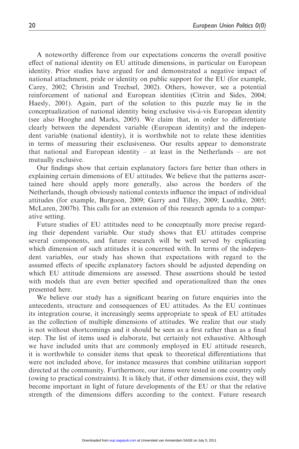A noteworthy difference from our expectations concerns the overall positive effect of national identity on EU attitude dimensions, in particular on European identity. Prior studies have argued for and demonstrated a negative impact of national attachment, pride or identity on public support for the EU (for example, Carey, 2002; Christin and Trechsel, 2002). Others, however, see a potential reinforcement of national and European identities (Citrin and Sides, 2004; Haesly, 2001). Again, part of the solution to this puzzle may lie in the conceptualization of national identity being exclusive vis-a`-vis European identity (see also Hooghe and Marks, 2005). We claim that, in order to differentiate clearly between the dependent variable (European identity) and the independent variable (national identity), it is worthwhile not to relate these identities in terms of measuring their exclusiveness. Our results appear to demonstrate that national and European identity – at least in the Netherlands – are not mutually exclusive.

Our findings show that certain explanatory factors fare better than others in explaining certain dimensions of EU attitudes. We believe that the patterns ascertained here should apply more generally, also across the borders of the Netherlands, though obviously national contexts influence the impact of individual attitudes (for example, Burgoon, 2009; Garry and Tilley, 2009; Luedtke, 2005; McLaren, 2007b). This calls for an extension of this research agenda to a comparative setting.

Future studies of EU attitudes need to be conceptually more precise regarding their dependent variable. Our study shows that EU attitudes comprise several components, and future research will be well served by explicating which dimension of such attitudes it is concerned with. In terms of the independent variables, our study has shown that expectations with regard to the assumed effects of specific explanatory factors should be adjusted depending on which EU attitude dimensions are assessed. These assertions should be tested with models that are even better specified and operationalized than the ones presented here.

We believe our study has a significant bearing on future enquiries into the antecedents, structure and consequences of EU attitudes. As the EU continues its integration course, it increasingly seems appropriate to speak of EU attitudes as the collection of multiple dimensions of attitudes. We realize that our study is not without shortcomings and it should be seen as a first rather than as a final step. The list of items used is elaborate, but certainly not exhaustive. Although we have included units that are commonly employed in EU attitude research, it is worthwhile to consider items that speak to theoretical differentiations that were not included above, for instance measures that combine utilitarian support directed at the community. Furthermore, our items were tested in one country only (owing to practical constraints). It is likely that, if other dimensions exist, they will become important in light of future developments of the EU or that the relative strength of the dimensions differs according to the context. Future research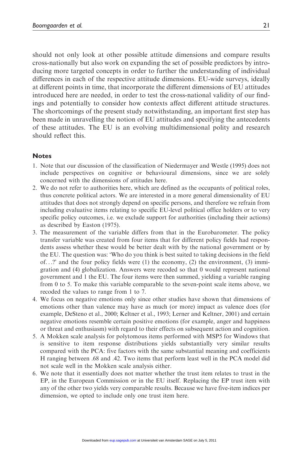should not only look at other possible attitude dimensions and compare results cross-nationally but also work on expanding the set of possible predictors by introducing more targeted concepts in order to further the understanding of individual differences in each of the respective attitude dimensions. EU-wide surveys, ideally at different points in time, that incorporate the different dimensions of EU attitudes introduced here are needed, in order to test the cross-national validity of our findings and potentially to consider how contexts affect different attitude structures. The shortcomings of the present study notwithstanding, an important first step has been made in unravelling the notion of EU attitudes and specifying the antecedents of these attitudes. The EU is an evolving multidimensional polity and research should reflect this.

#### **Notes**

- 1. Note that our discussion of the classification of Niedermayer and Westle (1995) does not include perspectives on cognitive or behavioural dimensions, since we are solely concerned with the dimensions of attitudes here.
- 2. We do not refer to authorities here, which are defined as the occupants of political roles, thus concrete political actors. We are interested in a more general dimensionality of EU attitudes that does not strongly depend on specific persons, and therefore we refrain from including evaluative items relating to specific EU-level political office holders or to very specific policy outcomes, i.e. we exclude support for authorities (including their actions) as described by Easton (1975).
- 3. The measurement of the variable differs from that in the Eurobarometer. The policy transfer variable was created from four items that for different policy fields had respondents assess whether these would be better dealt with by the national government or by the EU. The question was: 'Who do you think is best suited to taking decisions in the field of...?' and the four policy fields were  $(1)$  the economy,  $(2)$  the environment,  $(3)$  immigration and (4) globalization. Answers were recoded so that 0 would represent national government and 1 the EU. The four items were then summed, yielding a variable ranging from 0 to 5. To make this variable comparable to the seven-point scale items above, we recoded the values to range from 1 to 7.
- 4. We focus on negative emotions only since other studies have shown that dimensions of emotions other than valence may have as much (or more) impact as valence does (for example, DeSteno et al., 2000; Keltner et al., 1993; Lerner and Keltner, 2001) and certain negative emotions resemble certain positive emotions (for example, anger and happiness or threat and enthusiasm) with regard to their effects on subsequent action and cognition.
- 5. A Mokken scale analysis for polytomous items performed with MSP5 for Windows that is sensitive to item response distributions yields substantially very similar results compared with the PCA: five factors with the same substantial meaning and coefficients H ranging between .68 and .42. Two items that perform least well in the PCA model did not scale well in the Mokken scale analysis either.
- 6. We note that it essentially does not matter whether the trust item relates to trust in the EP, in the European Commission or in the EU itself. Replacing the EP trust item with any of the other two yields very comparable results. Because we have five-item indices per dimension, we opted to include only one trust item here.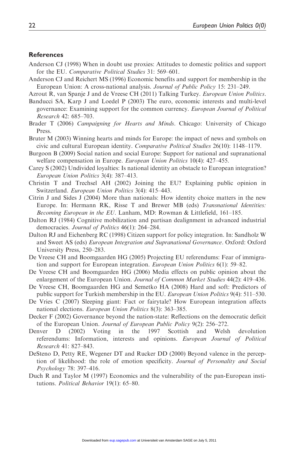#### **References**

- Anderson CJ (1998) When in doubt use proxies: Attitudes to domestic politics and support for the EU. Comparative Political Studies 31: 569–601.
- Anderson CJ and Reichert MS (1996) Economic benefits and support for membership in the European Union: A cross-national analysis. Journal of Public Policy 15: 231–249.

Azrout R, van Spanje J and de Vreese CH (2011) Talking Turkey. European Union Politics.

- Banducci SA, Karp J and Loedel P (2003) The euro, economic interests and multi-level governance: Examining support for the common currency. European Journal of Political Research 42: 685–703.
- Brader T (2006) Campaigning for Hearts and Minds. Chicago: University of Chicago Press.
- Bruter M (2003) Winning hearts and minds for Europe: the impact of news and symbols on civic and cultural European identity. Comparative Political Studies 26(10): 1148–1179.
- Burgoon B (2009) Social nation and social Europe: Support for national and supranational welfare compensation in Europe. European Union Politics 10(4): 427-455.
- Carey S (2002) Undivided loyalties: Is national identity an obstacle to European integration? European Union Politics 3(4): 387–413.
- Christin T and Trechsel AH (2002) Joining the EU? Explaining public opinion in Switzerland. European Union Politics 3(4): 415–443.
- Citrin J and Sides J (2004) More than nationals: How identity choice matters in the new Europe. In: Hermann RK, Risse T and Brewer MB (eds) Transnational Identities: Becoming European in the EU. Lanham, MD: Rowman & Littlefield, 161–185.
- Dalton RJ (1984) Cognitive mobilization and partisan dealignment in advanced industrial democracies. Journal of Politics 46(1): 264–284.
- Dalton RJ and Eichenberg RC (1998) Citizen support for policy integration. In: Sandholz W and Sweet AS (eds) European Integration and Supranational Governance. Oxford: Oxford University Press, 250–283.
- De Vreese CH and Boomgaarden HG (2005) Projecting EU referendums: Fear of immigration and support for European integration. European Union Politics 6(1): 59–82.
- De Vreese CH and Boomgaarden HG (2006) Media effects on public opinion about the enlargement of the European Union. Journal of Common Market Studies 44(2): 419–436.
- De Vreese CH, Boomgaarden HG and Semetko HA (2008) Hard and soft: Predictors of public support for Turkish membership in the EU. European Union Politics 9(4): 511–530.
- De Vries C (2007) Sleeping giant: Fact or fairytale? How European integration affects national elections. European Union Politics 8(3): 363–385.
- Decker F (2002) Governance beyond the nation-state: Reflections on the democratic deficit of the European Union. Journal of European Public Policy 9(2): 256–272.
- Denver D (2002) Voting in the 1997 Scottish and Welsh devolution referendums: Information, interests and opinions. European Journal of Political Research 41: 827–843.
- DeSteno D, Petty RE, Wegener DT and Rucker DD (2000) Beyond valence in the perception of likelihood: the role of emotion specificity. Journal of Personality and Social Psychology 78: 397–416.
- Duch R and Taylor M (1997) Economics and the vulnerability of the pan-European institutions. Political Behavior 19(1): 65–80.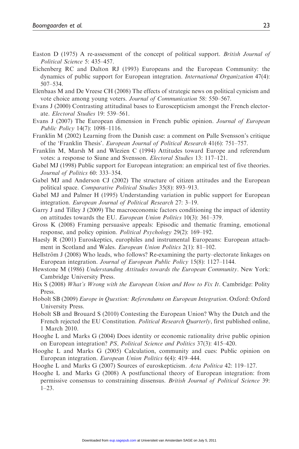- Easton D (1975) A re-assessment of the concept of political support. *British Journal of* Political Science 5: 435–457.
- Eichenberg RC and Dalton RJ (1993) Europeans and the European Community: the dynamics of public support for European integration. International Organization 47(4): 507–534.
- Elenbaas M and De Vreese CH (2008) The effects of strategic news on political cynicism and vote choice among young voters. Journal of Communication 58: 550–567.
- Evans J (2000) Contrasting attitudinal bases to Euroscepticism amongst the French electorate. Electoral Studies 19: 539–561.
- Evans J (2007) The European dimension in French public opinion. Journal of European Public Policy 14(7): 1098–1116.
- Franklin M (2002) Learning from the Danish case: a comment on Palle Svensson's critique of the 'Franklin Thesis'. European Journal of Political Research 41(6): 751–757.
- Franklin M, Marsh M and Wlezien C (1994) Attitudes toward Europe and referendum votes: a response to Siune and Svensson. Electoral Studies 13: 117–121.
- Gabel MJ (1998) Public support for European integration: an empirical test of five theories. Journal of Politics 60: 333–354.
- Gabel MJ and Anderson CJ (2002) The structure of citizen attitudes and the European political space. Comparative Political Studies 35(8): 893–913.
- Gabel MJ and Palmer H (1995) Understanding variation in public support for European integration. European Journal of Political Research 27: 3–19.
- Garry J and Tilley J (2009) The macroeconomic factors conditioning the impact of identity on attitudes towards the EU. European Union Politics 10(3): 361–379.
- Gross K (2008) Framing persuasive appeals: Episodic and thematic framing, emotional response, and policy opinion. Political Psychology 29(2): 169–192.
- Haesly R (2001) Euroskeptics, europhiles and instrumental Europeans: European attachment in Scotland and Wales. European Union Politics 2(1): 81–102.
- Hellström J (2008) Who leads, who follows? Re-examining the party–electorate linkages on European integration. Journal of European Public Policy 15(8): 1127–1144.
- Hewstone M (1986) Understanding Attitudes towards the European Community. New York: Cambridge University Press.
- Hix S (2008) What's Wrong with the European Union and How to Fix It. Cambridge: Polity Press.
- Hobolt SB (2009) Europe in Question: Referendums on European Integration. Oxford: Oxford University Press.
- Hobolt SB and Brouard S (2010) Contesting the European Union? Why the Dutch and the French rejected the EU Constitution. *Political Research Quarterly*, first published online, 1 March 2010.
- Hooghe L and Marks G (2004) Does identity or economic rationality drive public opinion on European integration? PS, Political Science and Politics 37(3): 415–420.
- Hooghe L and Marks G (2005) Calculation, community and cues: Public opinion on European integration. European Union Politics 6(4): 419–444.
- Hooghe L and Marks G (2007) Sources of euroskepticism. Acta Politica 42: 119–127.
- Hooghe L and Marks G (2008) A postfunctional theory of European integration: from permissive consensus to constraining dissensus. British Journal of Political Science 39: 1–23.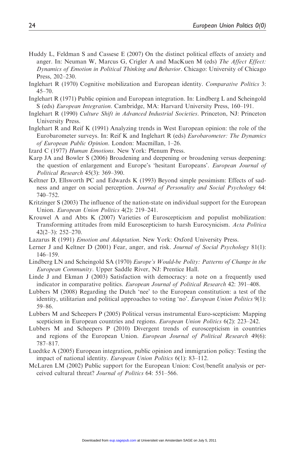- Huddy L, Feldman S and Cassese E (2007) On the distinct political effects of anxiety and anger. In: Neuman W, Marcus G, Crigler A and MacKuen M (eds) The Affect Effect: Dynamics of Emotion in Political Thinking and Behavior. Chicago: University of Chicago Press, 202–230.
- Inglehart R (1970) Cognitive mobilization and European identity. Comparative Politics 3:  $45 - 70$ .
- Inglehart R (1971) Public opinion and European integration. In: Lindberg L and Scheingold S (eds) European Integration. Cambridge, MA: Harvard University Press, 160–191.
- Inglehart R (1990) Culture Shift in Advanced Industrial Societies. Princeton, NJ: Princeton University Press.
- Inglehart R and Reif K (1991) Analyzing trends in West European opinion: the role of the Eurobarometer surveys. In: Reif K and Inglehart R (eds) Eurobarometer: The Dynamics of European Public Opinion. London: Macmillan, 1–26.
- Izard C (1977) Human Emotions. New York: Plenum Press.
- Karp JA and Bowler S (2006) Broadening and deepening or broadening versus deepening: the question of enlargement and Europe's 'hesitant Europeans'. *European Journal of* Political Research 45(3): 369–390.
- Keltner D, Ellsworth PC and Edwards K (1993) Beyond simple pessimism: Effects of sadness and anger on social perception. Journal of Personality and Social Psychology 64: 740–752.
- Kritzinger S (2003) The influence of the nation-state on individual support for the European Union. European Union Politics 4(2): 219–241.
- Krouwel A and Abts K (2007) Varieties of Euroscepticism and populist mobilization: Transforming attitudes from mild Euroscepticism to harsh Eurocynicism. Acta Politica 42(2–3): 252–270.
- Lazarus R (1991) Emotion and Adaptation. New York: Oxford University Press.
- Lerner J and Keltner D (2001) Fear, anger, and risk. Journal of Social Psychology 81(1): 146–159.
- Lindberg LN and Scheingold SA (1970) Europe's Would-be Polity: Patterns of Change in the European Community. Upper Saddle River, NJ: Prentice Hall.
- Linde J and Ekman J (2003) Satisfaction with democracy: a note on a frequently used indicator in comparative politics. European Journal of Political Research 42: 391–408.
- Lubbers M (2008) Regarding the Dutch 'nee' to the European constitution: a test of the identity, utilitarian and political approaches to voting 'no'. *European Union Politics* 9(1): 59–86.
- Lubbers M and Scheepers P (2005) Political versus instrumental Euro-scepticism: Mapping scepticism in European countries and regions. European Union Politics 6(2): 223–242.
- Lubbers M and Scheepers P (2010) Divergent trends of euroscepticism in countries and regions of the European Union. European Journal of Political Research 49(6): 787–817.
- Luedtke A (2005) European integration, public opinion and immigration policy: Testing the impact of national identity. European Union Politics 6(1): 83–112.
- McLaren LM (2002) Public support for the European Union: Cost/benefit analysis or perceived cultural threat? Journal of Politics 64: 551–566.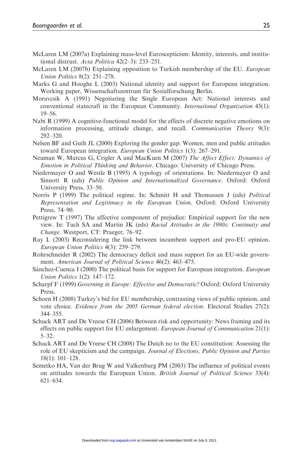- McLaren LM (2007a) Explaining mass-level Euroscepticism: Identity, interests, and institutional distrust. Acta Politica 42(2–3): 233–251.
- McLaren LM (2007b) Explaining opposition to Turkish membership of the EU. European Union Politics 8(2): 251–278.
- Marks G and Hooghe L (2003) National identity and support for European integration. Working paper, Wissenschaftszentrum für Sozialforschung Berlin.
- Moravcsik A (1991) Negotiating the Single European Act: National interests and conventional statecraft in the European Community. International Organization 45(1): 19–56.
- Nabi R (1999) A cognitive-functional model for the effects of discrete negative emotions on information processing, attitude change, and recall. Communication Theory 9(3): 292–320.
- Nelsen BF and Guth JL (2000) Exploring the gender gap: Women, men and public attitudes toward European integration. European Union Politics 1(3): 267-291.
- Neuman W, Marcus G, Crigler A and MacKuen M (2007) The Affect Effect: Dynamics of Emotion in Political Thinking and Behavior. Chicago: University of Chicago Press.
- Niedermayer O and Westle B (1995) A typology of orientations. In: Niedermayer O and Sinnott R (eds) Public Opinion and Internationalized Governance. Oxford: Oxford University Press, 33–50.
- Norris P (1999) The political regime. In: Schmitt H and Thomassen J (eds) Political Representation and Legitimacy in the European Union. Oxford: Oxford University Press, 74–90.
- Pettigrew T (1997) The affective component of prejudice: Empirical support for the new view. In: Tuch SA and Martin JK (eds) Racial Attitudes in the 1990s: Continuity and Change. Westport, CT: Praeger, 76–92.
- Ray L (2003) Reconsidering the link between incumbent support and pro-EU opinion. European Union Politics 4(3): 259–279.
- Rohrschneider R (2002) The democracy deficit and mass support for an EU-wide government. American Journal of Political Science 46(2): 463–475.
- Sánchez-Cuenca I (2000) The political basis for support for European integration. *European* Union Politics 1(2): 147–172.
- Scharpf F (1999) Governing in Europe: Effective and Democratic? Oxford: Oxford University Press.
- Schoen H (2008) Turkey's bid for EU membership, contrasting views of public opinion, and vote choice. Evidence from the 2005 German federal election. Electoral Studies 27(2): 344–355.
- Schuck ART and De Vreese CH (2006) Between risk and opportunity: News framing and its effects on public support for EU enlargement. European Journal of Communication 21(1): 5–32.
- Schuck ART and De Vreese CH (2008) The Dutch no to the EU constitution: Assessing the role of EU skepticism and the campaign. Journal of Elections, Public Opinion and Parties 18(1): 101–128.
- Semetko HA, Van der Brug W and Valkenburg PM (2003) The influence of political events on attitudes towards the European Union. British Journal of Political Science 33(4): 621–634.